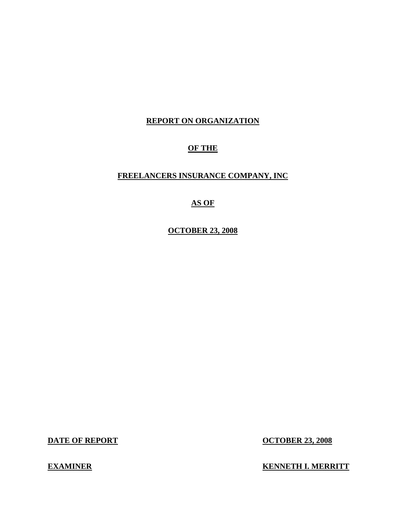# **REPORT ON ORGANIZATION**

# **OF THE**

# **FREELANCERS INSURANCE COMPANY, INC**

# **AS OF**

**OCTOBER 23, 2008** 

**DATE OF REPORT OCTOBER 23, 2008** 

**EXAMINER EXAMINER EXAMINER**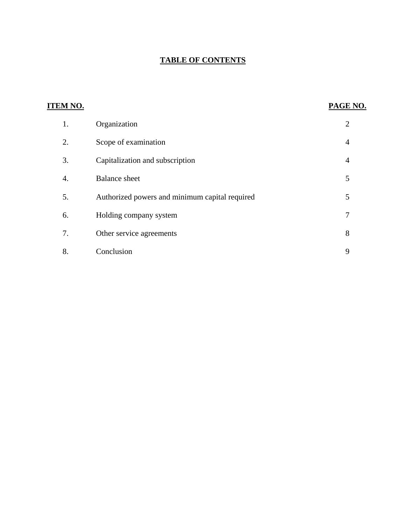# **TABLE OF CONTENTS**

| <b>ITEM NO.</b> |                                                | PAGE NO.       |
|-----------------|------------------------------------------------|----------------|
| 1.              | Organization                                   | $\overline{2}$ |
| 2.              | Scope of examination                           | $\overline{4}$ |
| 3.              | Capitalization and subscription                | $\overline{4}$ |
| 4.              | <b>Balance</b> sheet                           | 5              |
| 5.              | Authorized powers and minimum capital required | 5              |
| 6.              | Holding company system                         | 7              |
| 7.              | Other service agreements                       | 8              |
| 8.              | Conclusion                                     | 9              |
|                 |                                                |                |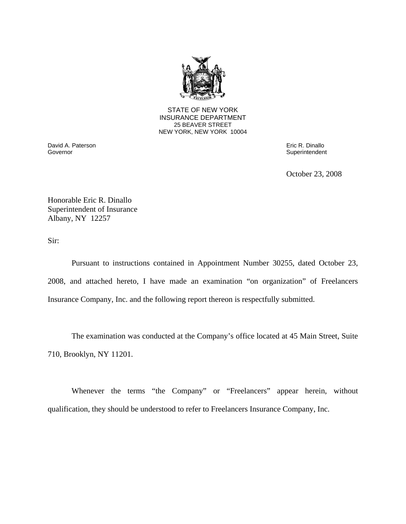

**25 BEAVER STREET** STATE OF NEW YORK INSURANCE DEPARTMENT NEW YORK, NEW YORK 10004

Governor David A. Paterson Eric R. Dinallo

Superintendent

October 23, 2008

Honorable Eric R. Dinallo Superintendent of Insurance Albany, NY 12257

Sir:

Pursuant to instructions contained in Appointment Number 30255, dated October 23, 2008, and attached hereto, I have made an examination "on organization" of Freelancers Insurance Company, Inc. and the following report thereon is respectfully submitted.

The examination was conducted at the Company's office located at 45 Main Street, Suite 710, Brooklyn, NY 11201.

Whenever the terms "the Company" or "Freelancers" appear herein, without qualification, they should be understood to refer to Freelancers Insurance Company, Inc.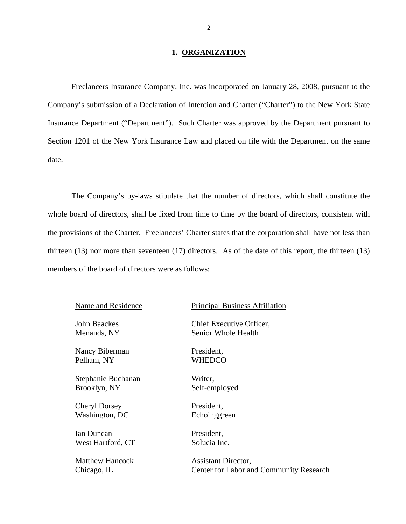#### 1. ORGANIZATION

<span id="page-3-0"></span>Freelancers Insurance Company, Inc. was incorporated on January 28, 2008, pursuant to the Company's submission of a Declaration of Intention and Charter ("Charter") to the New York State Insurance Department ("Department"). Such Charter was approved by the Department pursuant to Section 1201 of the New York Insurance Law and placed on file with the Department on the same date.

The Company's by-laws stipulate that the number of directors, which shall constitute the whole board of directors, shall be fixed from time to time by the board of directors, consistent with the provisions of the Charter. Freelancers' Charter states that the corporation shall have not less than thirteen (13) nor more than seventeen (17) directors. As of the date of this report, the thirteen (13) members of the board of directors were as follows:

Nancy Biberman President, Pelham, NY WHEDCO

Stephanie Buchanan Writer, Brooklyn, NY Self-employed

Cheryl Dorsey President, Washington, DC Echoinggreen

Ian Duncan President, West Hartford, CT Solucia Inc.

#### Name and Residence Principal Business Affiliation

John Baackes Chief Executive Officer, Menands, NY Senior Whole Health

Matthew Hancock Assistant Director. Chicago, IL Center for Labor and Community Research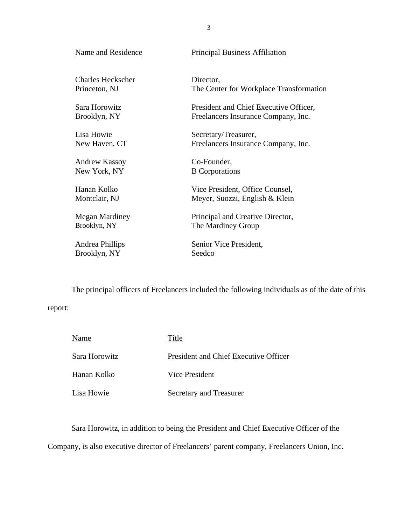| Name and Residence       | <b>Principal Business Affiliation</b>   |
|--------------------------|-----------------------------------------|
| <b>Charles Heckscher</b> | Director,                               |
| Princeton, NJ            | The Center for Workplace Transformation |
| Sara Horowitz            | President and Chief Executive Officer,  |
| Brooklyn, NY             | Freelancers Insurance Company, Inc.     |
| Lisa Howie               | Secretary/Treasurer,                    |
| New Haven, CT            | Freelancers Insurance Company, Inc.     |
| <b>Andrew Kassoy</b>     | Co-Founder,                             |
| New York, NY             | <b>B</b> Corporations                   |
| Hanan Kolko              | Vice President, Office Counsel,         |
| Montclair, NJ            | Meyer, Suozzi, English & Klein          |
| Megan Mardiney           | Principal and Creative Director,        |
| Brooklyn, NY             | The Mardiney Group                      |
| Andrea Phillips          | Senior Vice President,                  |
| Brooklyn, NY             | Seedco                                  |

The principal officers of Freelancers included the following individuals as of the date of this

# report:

| Name          | Title                                 |
|---------------|---------------------------------------|
| Sara Horowitz | President and Chief Executive Officer |
| Hanan Kolko   | Vice President                        |
| Lisa Howie    | Secretary and Treasurer               |

Sara Horowitz, in addition to being the President and Chief Executive Officer of the

Company, is also executive director of Freelancers' parent company, Freelancers Union, Inc.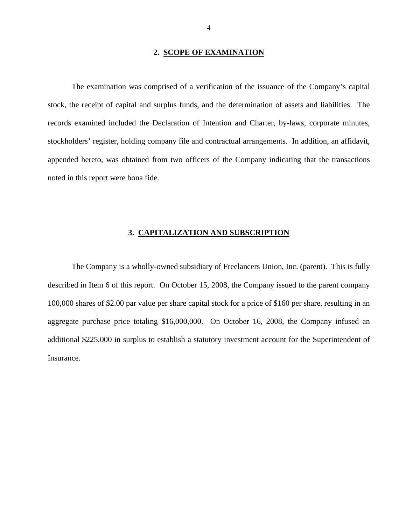#### **2. SCOPE OF EXAMINATION**

<span id="page-5-0"></span>The examination was comprised of a verification of the issuance of the Company's capital stock, the receipt of capital and surplus funds, and the determination of assets and liabilities. The records examined included the Declaration of Intention and Charter, by-laws, corporate minutes, stockholders' register, holding company file and contractual arrangements. In addition, an affidavit, appended hereto, was obtained from two officers of the Company indicating that the transactions noted in this report were bona fide.

#### **3. CAPITALIZATION AND SUBSCRIPTION**

The Company is a wholly-owned subsidiary of Freelancers Union, Inc. (parent). This is fully described in Item 6 of this report. On October 15, 2008, the Company issued to the parent company 100,000 shares of \$2.00 par value per share capital stock for a price of \$160 per share, resulting in an aggregate purchase price totaling \$16,000,000. On October 16, 2008, the Company infused an additional \$225,000 in surplus to establish a statutory investment account for the Superintendent of Insurance.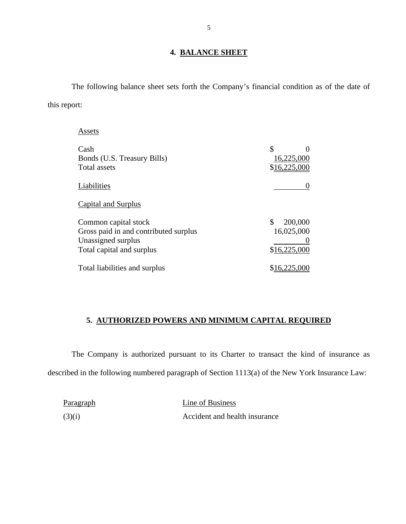#### **4. BALANCE SHEET**

The following balance sheet sets forth the Company's financial condition as of the date of this report:

Assets

| Assets                                                                                                           |                                             |
|------------------------------------------------------------------------------------------------------------------|---------------------------------------------|
| Cash<br>Bonds (U.S. Treasury Bills)<br>Total assets                                                              | \$<br>16,225,000<br>\$16,225,000            |
| Liabilities                                                                                                      |                                             |
| <b>Capital and Surplus</b>                                                                                       |                                             |
| Common capital stock<br>Gross paid in and contributed surplus<br>Unassigned surplus<br>Total capital and surplus | 200,000<br>\$<br>16,025,000<br>\$16,225,000 |
| Total liabilities and surplus                                                                                    | \$16,225,000                                |

## **5. AUTHORIZED POWERS AND MINIMUM CAPITAL REQUIRED**

The Company is authorized pursuant to its Charter to transact the kind of insurance as described in the following numbered paragraph of Section 1113(a) of the New York Insurance Law:

| Paragraph | Line of Business              |
|-----------|-------------------------------|
| (3)(i)    | Accident and health insurance |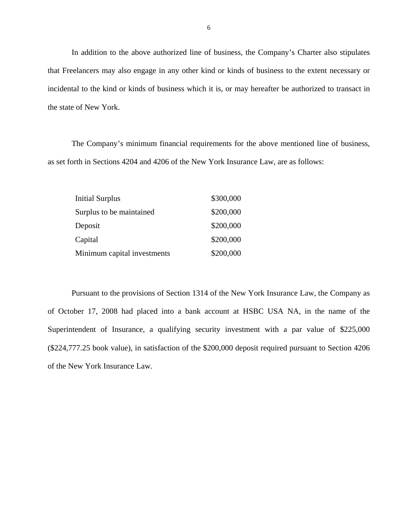In addition to the above authorized line of business, the Company's Charter also stipulates that Freelancers may also engage in any other kind or kinds of business to the extent necessary or incidental to the kind or kinds of business which it is, or may hereafter be authorized to transact in the state of New York.

The Company's minimum financial requirements for the above mentioned line of business, as set forth in Sections 4204 and 4206 of the New York Insurance Law, are as follows:

| <b>Initial Surplus</b>      | \$300,000 |
|-----------------------------|-----------|
| Surplus to be maintained    | \$200,000 |
| Deposit                     | \$200,000 |
| Capital                     | \$200,000 |
| Minimum capital investments | \$200,000 |

Pursuant to the provisions of Section 1314 of the New York Insurance Law, the Company as of October 17, 2008 had placed into a bank account at HSBC USA NA, in the name of the Superintendent of Insurance, a qualifying security investment with a par value of \$225,000 (\$[224,777.25](https://224,777.25) book value), in satisfaction of the \$200,000 deposit required pursuant to Section 4206 of the New York Insurance Law.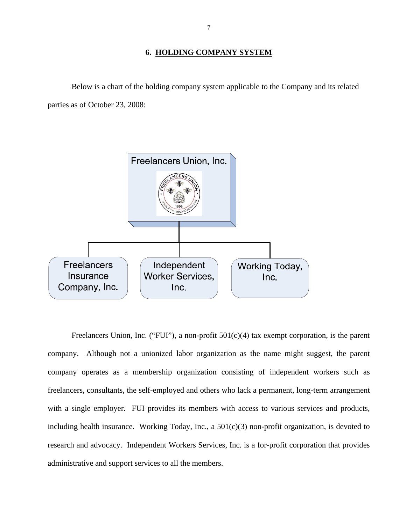#### **6. HOLDING COMPANY SYSTEM**

<span id="page-8-0"></span>Below is a chart of the holding company system applicable to the Company and its related parties as of October 23, 2008:



Freelancers Union, Inc. ("FUI"), a non-profit  $501(c)(4)$  tax exempt corporation, is the parent company. Although not a unionized labor organization as the name might suggest, the parent company operates as a membership organization consisting of independent workers such as freelancers, consultants, the self-employed and others who lack a permanent, long-term arrangement with a single employer. FUI provides its members with access to various services and products, including health insurance. Working Today, Inc., a 501(c)(3) non-profit organization, is devoted to research and advocacy. Independent Workers Services, Inc. is a for-profit corporation that provides administrative and support services to all the members.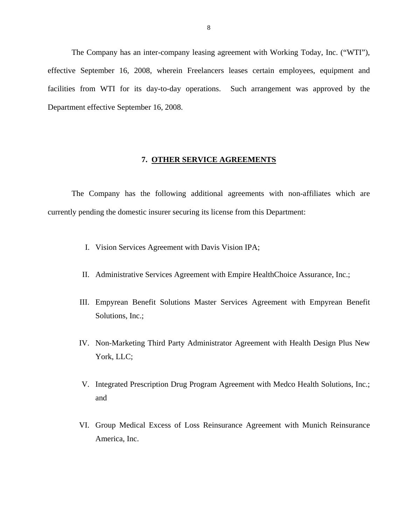<span id="page-9-0"></span>The Company has an inter-company leasing agreement with Working Today, Inc. ("WTI"), effective September 16, 2008, wherein Freelancers leases certain employees, equipment and facilities from WTI for its day-to-day operations. Such arrangement was approved by the Department effective September 16, 2008.

#### **7. OTHER SERVICE AGREEMENTS**

The Company has the following additional agreements with non-affiliates which are currently pending the domestic insurer securing its license from this Department:

- I. Vision Services Agreement with Davis Vision IPA;
- II. Administrative Services Agreement with Empire HealthChoice Assurance, Inc.;
- III. Empyrean Benefit Solutions Master Services Agreement with Empyrean Benefit Solutions, Inc.;
- IV. Non-Marketing Third Party Administrator Agreement with Health Design Plus New York, LLC;
- V. Integrated Prescription Drug Program Agreement with Medco Health Solutions, Inc.; and
- VI. Group Medical Excess of Loss Reinsurance Agreement with Munich Reinsurance America, Inc.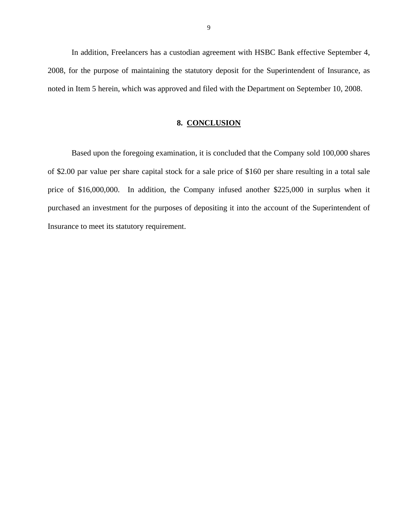<span id="page-10-0"></span>In addition, Freelancers has a custodian agreement with HSBC Bank effective September 4, 2008, for the purpose of maintaining the statutory deposit for the Superintendent of Insurance, as noted in Item 5 herein, which was approved and filed with the Department on September 10, 2008.

#### **8. CONCLUSION**

Based upon the foregoing examination, it is concluded that the Company sold 100,000 shares of \$2.00 par value per share capital stock for a sale price of \$160 per share resulting in a total sale price of \$16,000,000. In addition, the Company infused another \$225,000 in surplus when it purchased an investment for the purposes of depositing it into the account of the Superintendent of Insurance to meet its statutory requirement.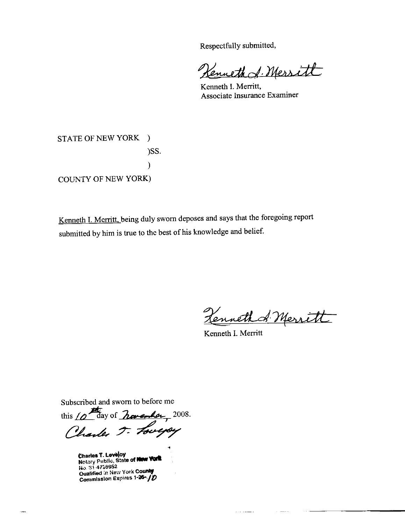Respectfully submitted,

enneth & Mersitt

Kenneth I. Merritt, Associate Insurance Examiner

STATE OF NEW YORK )  $)$ SS.  $\mathcal{E}$ COUNTY OF NEW YORK)

Kenneth I. Merritt, being duly sworn deposes and says that the foregoing report submitted by him is true to the best of his knowledge and belief.

Kenneth & Merritt

Kenneth I. Merritt

. . . . . .

Subscribed and sworn to before me

this  $10$  day of  $h$  avender, 2008. Charles T. Lovepy

Charles T. Lovejoy<br>Notary Public, State of New York No. 31-4758952 Qualified in New York County Commission Expires 1-25-10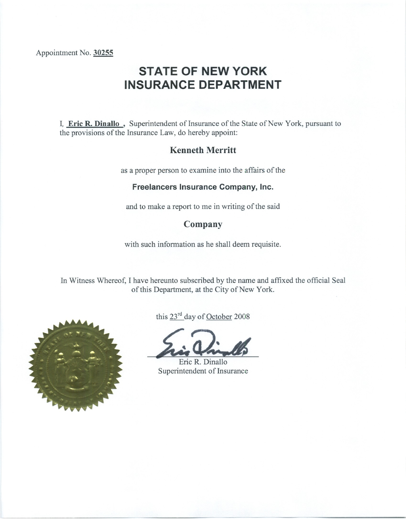Appointment No. 30255

# **STATE OF NEW YORK INSURANCE DEPARTMENT**

I, Eric R. Dinallo, Superintendent of Insurance of the State of New York, pursuant to the provisions of the Insurance Law, do hereby appoint:

# **Kenneth Merritt**

as a proper person to examine into the affairs of the

#### Freelancers Insurance Company, Inc.

and to make a report to me in writing of the said

# Company

with such information as he shall deem requisite.

In Witness Whereof, I have hereunto subscribed by the name and affixed the official Seal of this Department, at the City of New York.



this 23<sup>rd</sup> day of October 2008

Eric R. Dinallo Superintendent of Insurance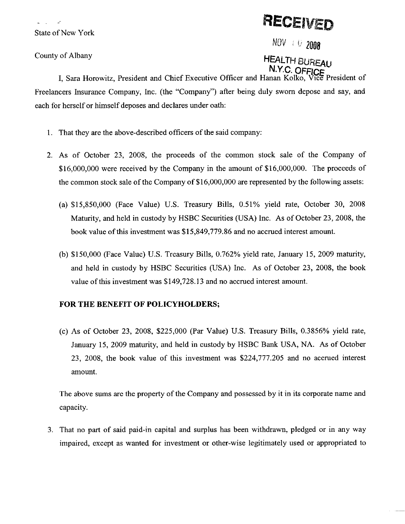**State of New York** 

County of Albany

# RECEIVED

NOV # 0 2008

# **HEALTH BUREAU**

I, Sara Horowitz, President and Chief Executive Officer and Hanan Kolko, Freelancers Insurance Company, Inc. (the "Company") after being duly sworn depose and say, and each for herself or himself deposes and declares under oath:

- 1. That they are the above-described officers of the said company:
- 2. As of October 23, 2008, the proceeds of the common stock sale of the Company of \$16,000,000 were received by the Company in the amount of \$16,000,000. The proceeds of the common stock sale of the Company of \$16,000,000 are represented by the following assets:
	- (a) \$15,850,000 (Face Value) U.S. Treasury Bills, 0.51% yield rate, October 30, 2008 Maturity, and held in custody by HSBC Securities (USA) Inc. As of October 23, 2008, the book value of this investment was \$15,849,779.86 and no accrued interest amount.
	- (b) \$150,000 (Face Value) U.S. Treasury Bills, 0.762% yield rate, January 15, 2009 maturity, and held in custody by HSBC Securities (USA) Inc. As of October 23, 2008, the book value of this investment was \$149,728.13 and no accrued interest amount.

### FOR THE BENEFIT OF POLICYHOLDERS;

(c) As of October 23, 2008, \$225,000 (Par Value) U.S. Treasury Bills,  $0.3856\%$  yield rate, January 15, 2009 maturity, and held in custody by HSBC Bank USA, NA. As of October 23, 2008, the book value of this investment was \$224,777.205 and no accrued interest amount.

The above sums are the property of the Company and possessed by it in its corporate name and capacity.

3. That no part of said paid-in capital and surplus has been withdrawn, pledged or in any way impaired, except as wanted for investment or other-wise legitimately used or appropriated to